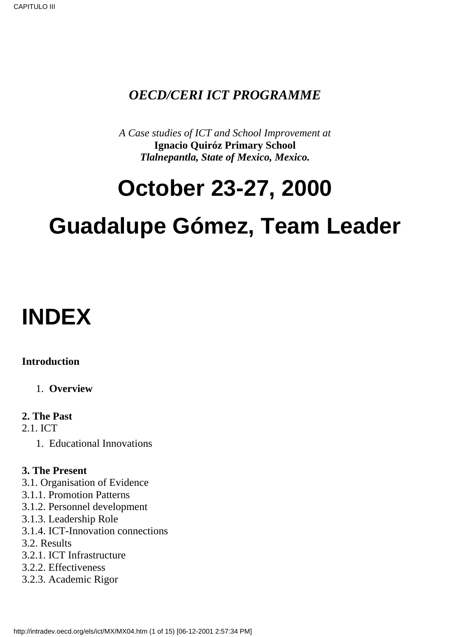## *OECD/CERI ICT PROGRAMME*

*A Case studies of ICT and School Improvement at* **Ignacio Quiróz Primary School** *Tlalnepantla, State of Mexico, Mexico.*

## **October 23-27, 2000**

## **Guadalupe Gómez, Team Leader**

## **INDEX**

## **Introduction**

### 1. **Overview**

### **2. The Past**

2.1. ICT

1. Educational Innovations

#### **3. The Present**

- 3.1. Organisation of Evidence
- 3.1.1. Promotion Patterns
- 3.1.2. Personnel development
- 3.1.3. Leadership Role
- 3.1.4. ICT-Innovation connections
- 3.2. Results
- 3.2.1. ICT Infrastructure
- 3.2.2. Effectiveness
- 3.2.3. Academic Rigor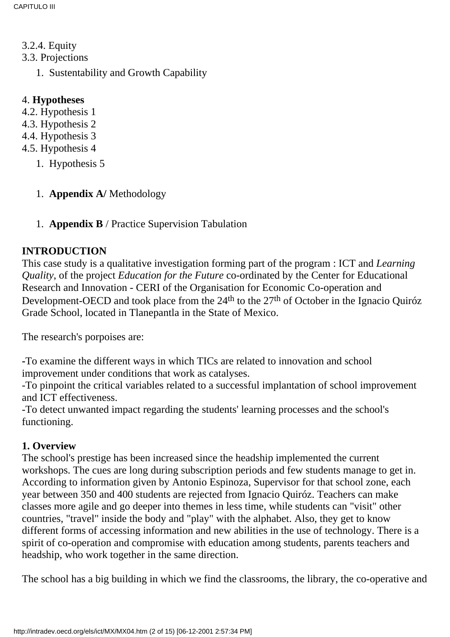### 3.2.4. Equity

- 3.3. Projections
	- 1. Sustentability and Growth Capability

## 4. **Hypotheses**

- 4.2. Hypothesis 1
- 4.3. Hypothesis 2
- 4.4. Hypothesis 3
- 4.5. Hypothesis 4
	- 1. Hypothesis 5
	- 1. **Appendix A/** Methodology
	- **1. Appendix B** / Practice Supervision Tabulation

## **INTRODUCTION**

This case study is a qualitative investigation forming part of the program : ICT and *Learning Quality*, of the project *Education for the Future* co-ordinated by the Center for Educational Research and Innovation - CERI of the Organisation for Economic Co-operation and Development-OECD and took place from the 24<sup>th</sup> to the 27<sup>th</sup> of October in the Ignacio Quiróz Grade School, located in Tlanepantla in the State of Mexico.

The research's porpoises are:

**-**To examine the different ways in which TICs are related to innovation and school improvement under conditions that work as catalyses.

-To pinpoint the critical variables related to a successful implantation of school improvement and ICT effectiveness.

-To detect unwanted impact regarding the students' learning processes and the school's functioning.

## **1. Overview**

The school's prestige has been increased since the headship implemented the current workshops. The cues are long during subscription periods and few students manage to get in. According to information given by Antonio Espinoza, Supervisor for that school zone, each year between 350 and 400 students are rejected from Ignacio Quiróz. Teachers can make classes more agile and go deeper into themes in less time, while students can "visit" other countries, "travel" inside the body and "play" with the alphabet. Also, they get to know different forms of accessing information and new abilities in the use of technology. There is a spirit of co-operation and compromise with education among students, parents teachers and headship, who work together in the same direction.

The school has a big building in which we find the classrooms, the library, the co-operative and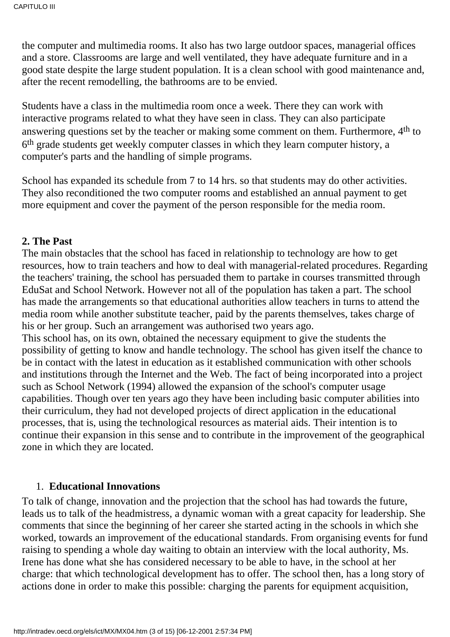the computer and multimedia rooms. It also has two large outdoor spaces, managerial offices and a store. Classrooms are large and well ventilated, they have adequate furniture and in a good state despite the large student population. It is a clean school with good maintenance and, after the recent remodelling, the bathrooms are to be envied.

Students have a class in the multimedia room once a week. There they can work with interactive programs related to what they have seen in class. They can also participate answering questions set by the teacher or making some comment on them. Furthermore, 4<sup>th</sup> to 6th grade students get weekly computer classes in which they learn computer history, a computer's parts and the handling of simple programs.

School has expanded its schedule from 7 to 14 hrs. so that students may do other activities. They also reconditioned the two computer rooms and established an annual payment to get more equipment and cover the payment of the person responsible for the media room.

### **2. The Past**

The main obstacles that the school has faced in relationship to technology are how to get resources, how to train teachers and how to deal with managerial-related procedures. Regarding the teachers' training, the school has persuaded them to partake in courses transmitted through EduSat and School Network. However not all of the population has taken a part. The school has made the arrangements so that educational authorities allow teachers in turns to attend the media room while another substitute teacher, paid by the parents themselves, takes charge of his or her group. Such an arrangement was authorised two years ago.

This school has, on its own, obtained the necessary equipment to give the students the possibility of getting to know and handle technology. The school has given itself the chance to be in contact with the latest in education as it established communication with other schools and institutions through the Internet and the Web. The fact of being incorporated into a project such as School Network (1994) allowed the expansion of the school's computer usage capabilities. Though over ten years ago they have been including basic computer abilities into their curriculum, they had not developed projects of direct application in the educational processes, that is, using the technological resources as material aids. Their intention is to continue their expansion in this sense and to contribute in the improvement of the geographical zone in which they are located.

### 1. **Educational Innovations**

To talk of change, innovation and the projection that the school has had towards the future, leads us to talk of the headmistress, a dynamic woman with a great capacity for leadership. She comments that since the beginning of her career she started acting in the schools in which she worked, towards an improvement of the educational standards. From organising events for fund raising to spending a whole day waiting to obtain an interview with the local authority, Ms. Irene has done what she has considered necessary to be able to have, in the school at her charge: that which technological development has to offer. The school then, has a long story of actions done in order to make this possible: charging the parents for equipment acquisition,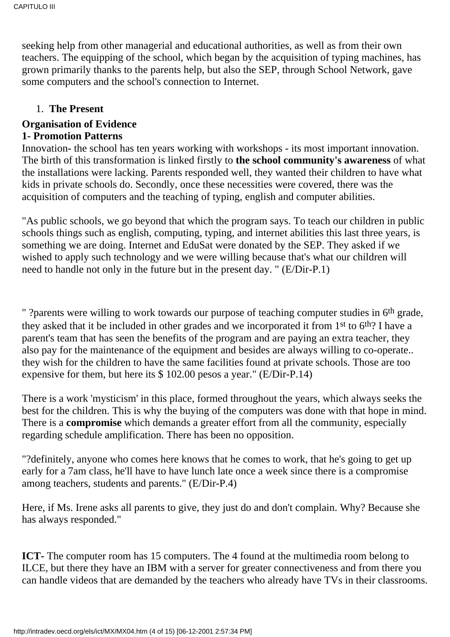seeking help from other managerial and educational authorities, as well as from their own teachers. The equipping of the school, which began by the acquisition of typing machines, has grown primarily thanks to the parents help, but also the SEP, through School Network, gave some computers and the school's connection to Internet.

### 1. **The Present**

### **Organisation of Evidence 1- Promotion Patterns**

Innovation**-** the school has ten years working with workshops - its most important innovation. The birth of this transformation is linked firstly to **the school community's awareness** of what the installations were lacking. Parents responded well, they wanted their children to have what kids in private schools do. Secondly, once these necessities were covered, there was the acquisition of computers and the teaching of typing, english and computer abilities.

"As public schools, we go beyond that which the program says. To teach our children in public schools things such as english, computing, typing, and internet abilities this last three years, is something we are doing. Internet and EduSat were donated by the SEP. They asked if we wished to apply such technology and we were willing because that's what our children will need to handle not only in the future but in the present day. " (E/Dir-P.1)

" ?parents were willing to work towards our purpose of teaching computer studies in 6<sup>th</sup> grade, they asked that it be included in other grades and we incorporated it from 1<sup>st</sup> to 6<sup>th</sup>? I have a parent's team that has seen the benefits of the program and are paying an extra teacher, they also pay for the maintenance of the equipment and besides are always willing to co-operate.. they wish for the children to have the same facilities found at private schools. Those are too expensive for them, but here its \$ 102.00 pesos a year." (E/Dir-P.14)

There is a work 'mysticism' in this place, formed throughout the years, which always seeks the best for the children. This is why the buying of the computers was done with that hope in mind. There is a **compromise** which demands a greater effort from all the community, especially regarding schedule amplification. There has been no opposition.

"?definitely, anyone who comes here knows that he comes to work, that he's going to get up early for a 7am class, he'll have to have lunch late once a week since there is a compromise among teachers, students and parents." (E/Dir-P.4)

Here, if Ms. Irene asks all parents to give, they just do and don't complain. Why? Because she has always responded."

**ICT**- The computer room has 15 computers. The 4 found at the multimedia room belong to ILCE, but there they have an IBM with a server for greater connectiveness and from there you can handle videos that are demanded by the teachers who already have TVs in their classrooms.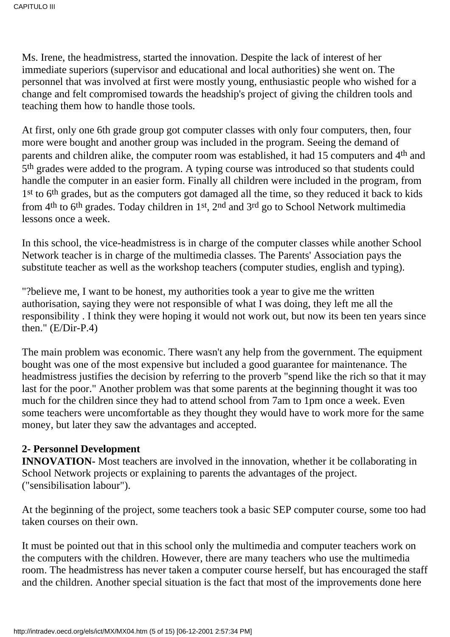Ms. Irene, the headmistress, started the innovation. Despite the lack of interest of her immediate superiors (supervisor and educational and local authorities) she went on. The personnel that was involved at first were mostly young, enthusiastic people who wished for a change and felt compromised towards the headship's project of giving the children tools and teaching them how to handle those tools.

At first, only one 6th grade group got computer classes with only four computers, then, four more were bought and another group was included in the program. Seeing the demand of parents and children alike, the computer room was established, it had 15 computers and 4th and 5th grades were added to the program. A typing course was introduced so that students could handle the computer in an easier form. Finally all children were included in the program, from 1<sup>st</sup> to 6<sup>th</sup> grades, but as the computers got damaged all the time, so they reduced it back to kids from 4th to 6th grades. Today children in 1st, 2nd and 3rd go to School Network multimedia lessons once a week.

In this school, the vice-headmistress is in charge of the computer classes while another School Network teacher is in charge of the multimedia classes. The Parents' Association pays the substitute teacher as well as the workshop teachers (computer studies, english and typing).

"?believe me, I want to be honest, my authorities took a year to give me the written authorisation, saying they were not responsible of what I was doing, they left me all the responsibility . I think they were hoping it would not work out, but now its been ten years since then."  $(E/Dir-P.4)$ 

The main problem was economic. There wasn't any help from the government. The equipment bought was one of the most expensive but included a good guarantee for maintenance. The headmistress justifies the decision by referring to the proverb "spend like the rich so that it may last for the poor." Another problem was that some parents at the beginning thought it was too much for the children since they had to attend school from 7am to 1pm once a week. Even some teachers were uncomfortable as they thought they would have to work more for the same money, but later they saw the advantages and accepted.

## **2- Personnel Development**

**INNOVATION-** Most teachers are involved in the innovation, whether it be collaborating in School Network projects or explaining to parents the advantages of the project. ("sensibilisation labour").

At the beginning of the project, some teachers took a basic SEP computer course, some too had taken courses on their own.

It must be pointed out that in this school only the multimedia and computer teachers work on the computers with the children. However, there are many teachers who use the multimedia room. The headmistress has never taken a computer course herself, but has encouraged the staff and the children. Another special situation is the fact that most of the improvements done here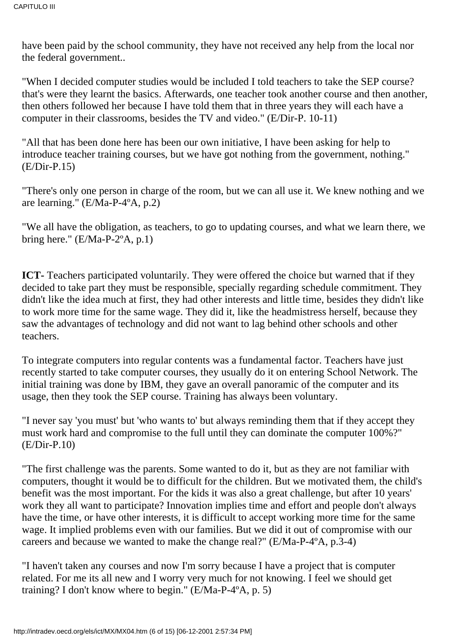have been paid by the school community, they have not received any help from the local nor the federal government..

"When I decided computer studies would be included I told teachers to take the SEP course? that's were they learnt the basics. Afterwards, one teacher took another course and then another, then others followed her because I have told them that in three years they will each have a computer in their classrooms, besides the TV and video." (E/Dir-P. 10-11)

"All that has been done here has been our own initiative, I have been asking for help to introduce teacher training courses, but we have got nothing from the government, nothing." (E/Dir-P.15)

"There's only one person in charge of the room, but we can all use it. We knew nothing and we are learning." (E/Ma-P-4ºA, p.2)

"We all have the obligation, as teachers, to go to updating courses, and what we learn there, we bring here." (E/Ma-P-2ºA, p.1)

**ICT-** Teachers participated voluntarily. They were offered the choice but warned that if they decided to take part they must be responsible, specially regarding schedule commitment. They didn't like the idea much at first, they had other interests and little time, besides they didn't like to work more time for the same wage. They did it, like the headmistress herself, because they saw the advantages of technology and did not want to lag behind other schools and other teachers.

To integrate computers into regular contents was a fundamental factor. Teachers have just recently started to take computer courses, they usually do it on entering School Network. The initial training was done by IBM, they gave an overall panoramic of the computer and its usage, then they took the SEP course. Training has always been voluntary.

"I never say 'you must' but 'who wants to' but always reminding them that if they accept they must work hard and compromise to the full until they can dominate the computer 100%?" (E/Dir-P.10)

"The first challenge was the parents. Some wanted to do it, but as they are not familiar with computers, thought it would be to difficult for the children. But we motivated them, the child's benefit was the most important. For the kids it was also a great challenge, but after 10 years' work they all want to participate? Innovation implies time and effort and people don't always have the time, or have other interests, it is difficult to accept working more time for the same wage. It implied problems even with our families. But we did it out of compromise with our careers and because we wanted to make the change real?" (E/Ma-P-4ºA, p.3-4)

"I haven't taken any courses and now I'm sorry because I have a project that is computer related. For me its all new and I worry very much for not knowing. I feel we should get training? I don't know where to begin." (E/Ma-P-4ºA, p. 5)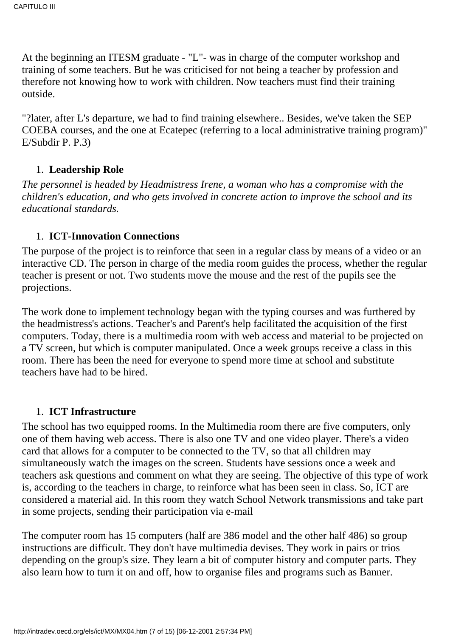At the beginning an ITESM graduate - "L"- was in charge of the computer workshop and training of some teachers. But he was criticised for not being a teacher by profession and therefore not knowing how to work with children. Now teachers must find their training outside.

"?later, after L's departure, we had to find training elsewhere.. Besides, we've taken the SEP COEBA courses, and the one at Ecatepec (referring to a local administrative training program)" E/Subdir P. P.3)

## 1. **Leadership Role**

*The personnel is headed by Headmistress Irene, a woman who has a compromise with the children's education, and who gets involved in concrete action to improve the school and its educational standards.*

## 1. **ICT-Innovation Connections**

The purpose of the project is to reinforce that seen in a regular class by means of a video or an interactive CD. The person in charge of the media room guides the process, whether the regular teacher is present or not. Two students move the mouse and the rest of the pupils see the projections.

The work done to implement technology began with the typing courses and was furthered by the headmistress's actions. Teacher's and Parent's help facilitated the acquisition of the first computers. Today, there is a multimedia room with web access and material to be projected on a TV screen, but which is computer manipulated. Once a week groups receive a class in this room. There has been the need for everyone to spend more time at school and substitute teachers have had to be hired.

## 1. **ICT Infrastructure**

The school has two equipped rooms. In the Multimedia room there are five computers, only one of them having web access. There is also one TV and one video player. There's a video card that allows for a computer to be connected to the TV, so that all children may simultaneously watch the images on the screen. Students have sessions once a week and teachers ask questions and comment on what they are seeing. The objective of this type of work is, according to the teachers in charge, to reinforce what has been seen in class. So, ICT are considered a material aid. In this room they watch School Network transmissions and take part in some projects, sending their participation via e-mail

The computer room has 15 computers (half are 386 model and the other half 486) so group instructions are difficult. They don't have multimedia devises. They work in pairs or trios depending on the group's size. They learn a bit of computer history and computer parts. They also learn how to turn it on and off, how to organise files and programs such as Banner.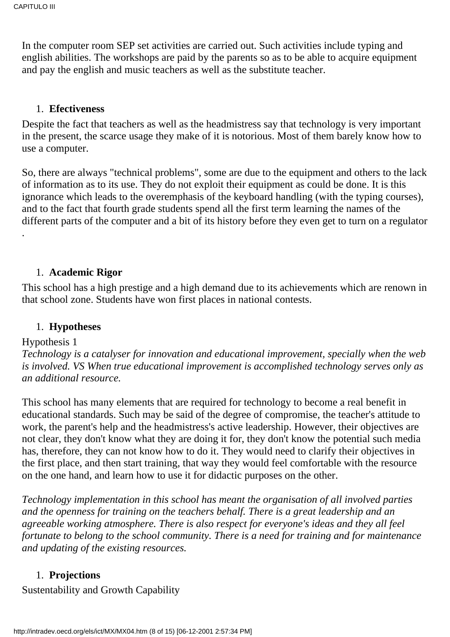In the computer room SEP set activities are carried out. Such activities include typing and english abilities. The workshops are paid by the parents so as to be able to acquire equipment and pay the english and music teachers as well as the substitute teacher.

#### 1. **Efectiveness**

Despite the fact that teachers as well as the headmistress say that technology is very important in the present, the scarce usage they make of it is notorious. Most of them barely know how to use a computer.

So, there are always "technical problems", some are due to the equipment and others to the lack of information as to its use. They do not exploit their equipment as could be done. It is this ignorance which leads to the overemphasis of the keyboard handling (with the typing courses), and to the fact that fourth grade students spend all the first term learning the names of the different parts of the computer and a bit of its history before they even get to turn on a regulator .

### 1. **Academic Rigor**

This school has a high prestige and a high demand due to its achievements which are renown in that school zone. Students have won first places in national contests.

### 1. **Hypotheses**

### Hypothesis 1

*Technology is a catalyser for innovation and educational improvement, specially when the web is involved. VS When true educational improvement is accomplished technology serves only as an additional resource.*

This school has many elements that are required for technology to become a real benefit in educational standards. Such may be said of the degree of compromise, the teacher's attitude to work, the parent's help and the headmistress's active leadership. However, their objectives are not clear, they don't know what they are doing it for, they don't know the potential such media has, therefore, they can not know how to do it. They would need to clarify their objectives in the first place, and then start training, that way they would feel comfortable with the resource on the one hand, and learn how to use it for didactic purposes on the other.

*Technology implementation in this school has meant the organisation of all involved parties and the openness for training on the teachers behalf. There is a great leadership and an agreeable working atmosphere. There is also respect for everyone's ideas and they all feel fortunate to belong to the school community. There is a need for training and for maintenance and updating of the existing resources.*

## 1. **Projections**

Sustentability and Growth Capability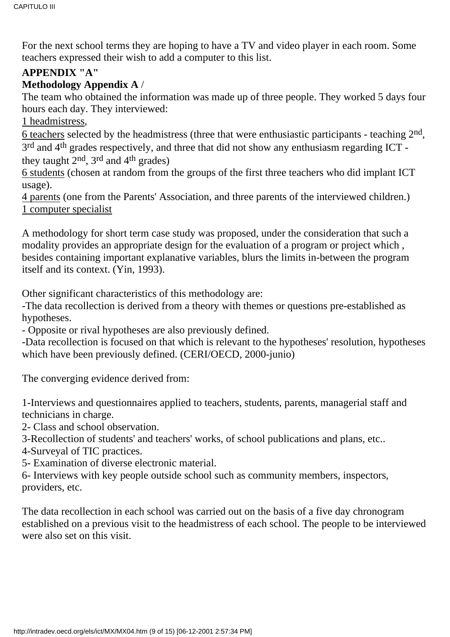For the next school terms they are hoping to have a TV and video player in each room. Some teachers expressed their wish to add a computer to this list.

## **APPENDIX "A"**

## **Methodology Appendix A** /

The team who obtained the information was made up of three people. They worked 5 days four hours each day. They interviewed:

1 headmistress,

6 teachers selected by the headmistress (three that were enthusiastic participants - teaching 2nd, 3rd and 4th grades respectively, and three that did not show any enthusiasm regarding ICT they taught 2nd, 3rd and 4th grades)

6 students (chosen at random from the groups of the first three teachers who did implant ICT usage).

4 parents (one from the Parents' Association, and three parents of the interviewed children.) 1 computer specialist

A methodology for short term case study was proposed, under the consideration that such a modality provides an appropriate design for the evaluation of a program or project which , besides containing important explanative variables, blurs the limits in-between the program itself and its context. (Yin, 1993).

Other significant characteristics of this methodology are:

-The data recollection is derived from a theory with themes or questions pre-established as hypotheses.

- Opposite or rival hypotheses are also previously defined.

-Data recollection is focused on that which is relevant to the hypotheses' resolution, hypotheses which have been previously defined. (CERI/OECD, 2000-junio)

The converging evidence derived from:

1-Interviews and questionnaires applied to teachers, students, parents, managerial staff and technicians in charge.

2- Class and school observation.

3-Recollection of students' and teachers' works, of school publications and plans, etc..

4-Surveyal of TIC practices.

5- Examination of diverse electronic material.

6- Interviews with key people outside school such as community members, inspectors, providers, etc.

The data recollection in each school was carried out on the basis of a five day chronogram established on a previous visit to the headmistress of each school. The people to be interviewed were also set on this visit.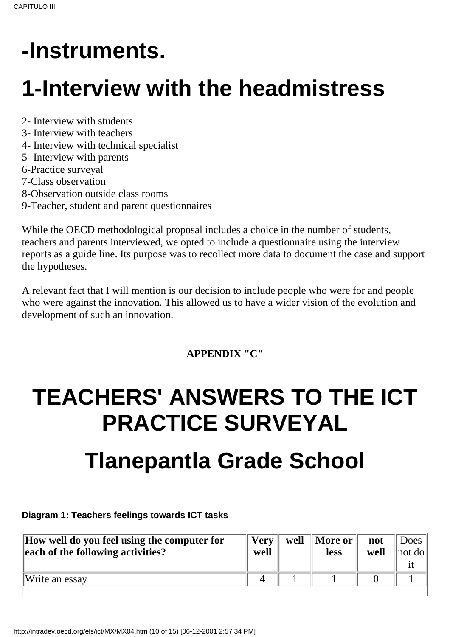## **-Instruments.**

## **1-Interview with the headmistress**

2- Interview with students 3- Interview with teachers 4- Interview with technical specialist 5- Interview with parents 6-Practice surveyal 7-Class observation 8-Observation outside class rooms 9-Teacher, student and parent questionnaires

While the OECD methodological proposal includes a choice in the number of students, teachers and parents interviewed, we opted to include a questionnaire using the interview reports as a guide line. Its purpose was to recollect more data to document the case and support the hypotheses.

A relevant fact that I will mention is our decision to include people who were for and people who were against the innovation. This allowed us to have a wider vision of the evolution and development of such an innovation.

**APPENDIX "C"**

# **TEACHERS' ANSWERS TO THE ICT PRACTICE SURVEYAL**

## **Tlanepantla Grade School**

**Diagram 1: Teachers feelings towards ICT tasks**

| How well do you feel using the computer for | <b>Very</b> | well | More or     | not  | <b>Does</b>   |
|---------------------------------------------|-------------|------|-------------|------|---------------|
| each of the following activities?           | well        |      | <b>less</b> | well | $ not \, do $ |
| Write an essay                              |             |      |             |      |               |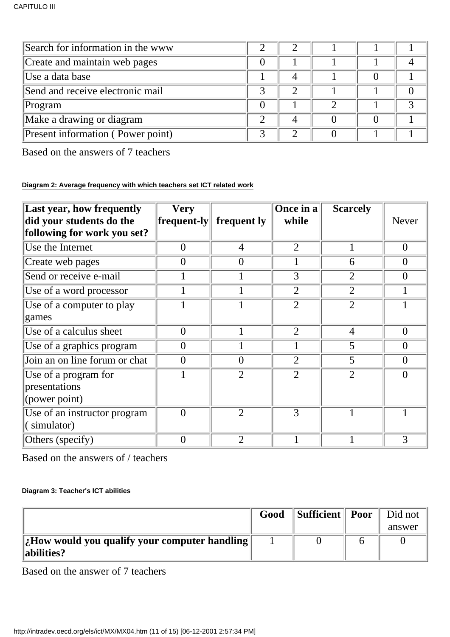| Search for information in the www        |   |   |  |  |
|------------------------------------------|---|---|--|--|
| Create and maintain web pages            |   |   |  |  |
| <b>IUse a data base</b>                  |   |   |  |  |
| Send and receive electronic mail         |   | ႒ |  |  |
| Program                                  |   |   |  |  |
| Make a drawing or diagram                | っ |   |  |  |
| <b>Present information (Power point)</b> |   |   |  |  |

Based on the answers of 7 teachers

#### **Diagram 2: Average frequency with which teachers set ICT related work**

| <b>Last year, how frequently</b><br>did your students do the | <b>Very</b>    | $ f_{\text{requirement}}-l_{\text{y}} $ frequent ly | Once in a<br>while | <b>Scarcely</b> | <b>Never</b>   |
|--------------------------------------------------------------|----------------|-----------------------------------------------------|--------------------|-----------------|----------------|
| following for work you set?                                  |                |                                                     |                    |                 |                |
| Use the Internet                                             | $\theta$       | $\overline{4}$                                      | $\overline{2}$     |                 | $\overline{0}$ |
| Create web pages                                             | 0              | $\theta$                                            |                    | 6               | $\Omega$       |
| Send or receive e-mail                                       |                |                                                     | 3                  | $\overline{2}$  | $\theta$       |
| Use of a word processor                                      |                |                                                     | $\overline{2}$     | $\overline{2}$  |                |
| Use of a computer to play                                    |                |                                                     | $\overline{2}$     | $\overline{2}$  |                |
| games                                                        |                |                                                     |                    |                 |                |
| Use of a calculus sheet                                      | $\theta$       |                                                     | $\overline{2}$     | $\overline{4}$  | $\overline{0}$ |
| Use of a graphics program                                    | $\overline{0}$ |                                                     |                    | 5               | $\overline{0}$ |
| Join an on line forum or chat                                | $\theta$       | $\theta$                                            | $\overline{2}$     | 5               | $\theta$       |
| Use of a program for                                         |                | $\overline{2}$                                      | $\overline{2}$     | $\overline{2}$  | $\Omega$       |
| presentations                                                |                |                                                     |                    |                 |                |
| (power point)                                                |                |                                                     |                    |                 |                |
| Use of an instructor program                                 | $\theta$       | $\overline{2}$                                      | 3                  |                 |                |
| (simulator)                                                  |                |                                                     |                    |                 |                |
| Others (specify)                                             | $\Omega$       | $\overline{2}$                                      |                    |                 | 3              |

Based on the answers of / teachers

#### **Diagram 3: Teacher's ICT abilities**

|                                                                              | Good | $\textbf{Sufficient} \parallel \textbf{Poor} \parallel \textbf{Did not} \parallel$ |        |
|------------------------------------------------------------------------------|------|------------------------------------------------------------------------------------|--------|
|                                                                              |      |                                                                                    | answer |
| $\Vert$ : How would you qualify your computer handling $\Vert$<br>abilities? |      |                                                                                    |        |

Based on the answer of 7 teachers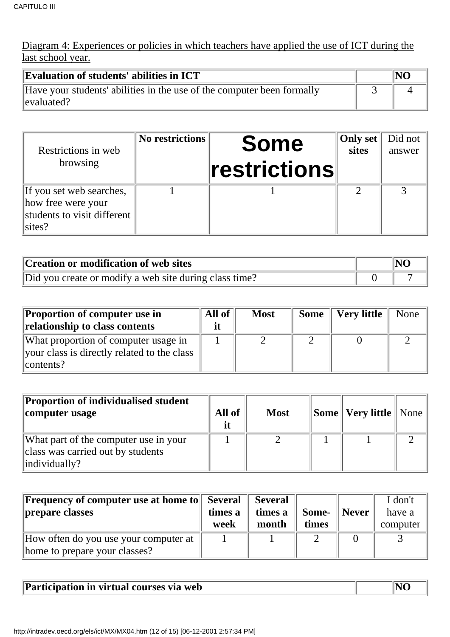## Diagram 4: Experiences or policies in which teachers have applied the use of ICT during the last school year.

| Evaluation of students' abilities in ICT                                              | NC |
|---------------------------------------------------------------------------------------|----|
| Have your students' abilities in the use of the computer been formally<br>levaluated? |    |

| Restrictions in web                                                                              | <b>No restrictions</b> | <b>Some</b>         | Only set | Did not |
|--------------------------------------------------------------------------------------------------|------------------------|---------------------|----------|---------|
| browsing                                                                                         |                        | <b>restrictions</b> | sites    | answer  |
| If you set web searches,<br>how free were your<br>students to visit different<br>$\text{sites?}$ |                        |                     |          |         |

| Creation or modification of web sites                  | $\overline{\text{N}}\text{C}$ |
|--------------------------------------------------------|-------------------------------|
| Did you create or modify a web site during class time? |                               |

| Proportion of computer use in<br>relationship to class contents                                      | All of<br>it | <b>Most</b> | <b>Some</b> | <b>Very little</b> | None |
|------------------------------------------------------------------------------------------------------|--------------|-------------|-------------|--------------------|------|
| What proportion of computer usage in<br>your class is directly related to the class<br>$l$ contents? |              |             |             |                    |      |

| <b>Proportion of individualised student</b><br>computer usage                               | All of<br>it | <b>Most</b> | <b>Some    Very little   </b> None |  |
|---------------------------------------------------------------------------------------------|--------------|-------------|------------------------------------|--|
| What part of the computer use in your<br>class was carried out by students<br>individually? |              |             |                                    |  |

| <b>Frequency of computer use at home to Several</b><br>prepare classes | times a<br>week | <b>Several</b><br>times a<br>month | Some-<br>times | <b>Never</b> | I don't<br>have a<br>computer |
|------------------------------------------------------------------------|-----------------|------------------------------------|----------------|--------------|-------------------------------|
| How often do you use your computer at<br>home to prepare your classes? |                 |                                    |                |              |                               |

| Participation in virtual courses via web | INT |
|------------------------------------------|-----|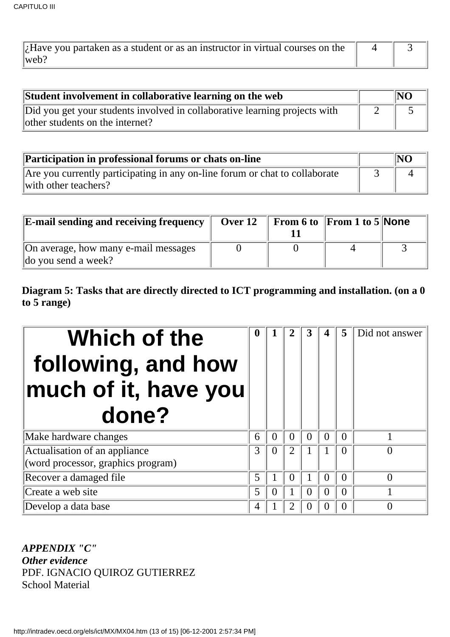| $\Vert$ . Have you partaken as a student or as an instructor in virtual courses on the |  |
|----------------------------------------------------------------------------------------|--|
| $\mathbb{I}$ web <sup>o</sup>                                                          |  |

| Student involvement in collaborative learning on the web                                                      | 'NO |
|---------------------------------------------------------------------------------------------------------------|-----|
| Did you get your students involved in collaborative learning projects with<br>other students on the internet? |     |

| Participation in professional forums or chats on-line                       | NO |
|-----------------------------------------------------------------------------|----|
| Are you currently participating in any on-line forum or chat to collaborate |    |
| with other teachers?                                                        |    |

| <b>E-mail sending and receiving frequency</b>               | Over 12 | <b>From 6 to From 1 to 5 None</b> |  |
|-------------------------------------------------------------|---------|-----------------------------------|--|
| On average, how many e-mail messages<br>do you send a week? |         |                                   |  |

## **Diagram 5: Tasks that are directly directed to ICT programming and installation. (on a 0 to 5 range)**

| Which of the<br>following, and how<br>much of it, have you<br>done? |   |          |   |              |                   | 5 | Did not answer |
|---------------------------------------------------------------------|---|----------|---|--------------|-------------------|---|----------------|
| Make hardware changes                                               | 6 | $\theta$ | 0 | $\theta$     | $\Omega$          | 0 |                |
| Actualisation of an appliance<br>(word processor, graphics program) | 3 | $\theta$ |   |              |                   |   |                |
| Recover a damaged file                                              | 5 |          | 0 |              | $\mathbf{\Omega}$ | 0 | $\theta$       |
| Create a web site                                                   | 5 | O        |   | $\mathbf{U}$ | $\mathbf{\Omega}$ | 0 |                |
| Develop a data base                                                 |   |          |   |              |                   |   |                |

*APPENDIX "C" Other evidence* PDF. IGNACIO QUIROZ GUTIERREZ School Material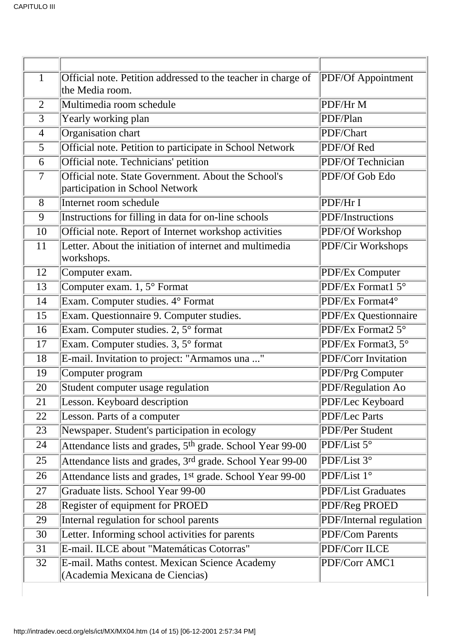| 1              | Official note. Petition addressed to the teacher in charge of<br>the Media room.       | PDF/Of Appointment          |  |  |
|----------------|----------------------------------------------------------------------------------------|-----------------------------|--|--|
| $\overline{2}$ | Multimedia room schedule                                                               | PDF/Hr M                    |  |  |
| 3              | Yearly working plan                                                                    | PDF/Plan                    |  |  |
| $\overline{4}$ | Organisation chart                                                                     | PDF/Chart                   |  |  |
| 5              | Official note. Petition to participate in School Network                               | PDF/Of Red                  |  |  |
| 6              | Official note. Technicians' petition                                                   | PDF/Of Technician           |  |  |
| 7              | Official note. State Government. About the School's<br>participation in School Network | PDF/Of Gob Edo              |  |  |
| 8              | Internet room schedule                                                                 | PDF/Hr I                    |  |  |
| 9              | Instructions for filling in data for on-line schools                                   | PDF/Instructions            |  |  |
| 10             | Official note. Report of Internet workshop activities                                  | PDF/Of Workshop             |  |  |
| 11             | Letter. About the initiation of internet and multimedia<br>workshops.                  | PDF/Cir Workshops           |  |  |
| 12             | Computer exam.                                                                         | PDF/Ex Computer             |  |  |
| 13             | Computer exam. 1, 5° Format                                                            | PDF/Ex Format1 5°           |  |  |
| 14             | Exam. Computer studies. 4 <sup>°</sup> Format                                          | PDF/Ex Format4°             |  |  |
| 15             | Exam. Questionnaire 9. Computer studies.                                               | <b>PDF/Ex Questionnaire</b> |  |  |
| 16             | Exam. Computer studies. 2, 5° format                                                   | PDF/Ex Format2 5°           |  |  |
| 17             | Exam. Computer studies. 3, 5° format                                                   | PDF/Ex Format3, 5°          |  |  |
| 18             | E-mail. Invitation to project: "Armamos una "                                          | <b>PDF/Corr Invitation</b>  |  |  |
| 19             | Computer program                                                                       | PDF/Prg Computer            |  |  |
| 20             | Student computer usage regulation                                                      | PDF/Regulation Ao           |  |  |
| 21             | Lesson. Keyboard description                                                           | PDF/Lec Keyboard            |  |  |
| 22             | Lesson. Parts of a computer                                                            | <b>PDF/Lec Parts</b>        |  |  |
| 23             | Newspaper. Student's participation in ecology                                          | PDF/Per Student             |  |  |
| 24             | Attendance lists and grades, 5 <sup>th</sup> grade. School Year 99-00                  | PDF/List 5°                 |  |  |
| 25             | Attendance lists and grades, 3rd grade. School Year 99-00                              | PDF/List 3°                 |  |  |
| 26             | Attendance lists and grades, 1 <sup>st</sup> grade. School Year 99-00                  | PDF/List 1°                 |  |  |
| 27             | Graduate lists. School Year 99-00                                                      | <b>PDF/List Graduates</b>   |  |  |
| 28             | Register of equipment for PROED                                                        | PDF/Reg PROED               |  |  |
| 29             | Internal regulation for school parents                                                 | PDF/Internal regulation     |  |  |
| 30             | Letter. Informing school activities for parents                                        | <b>PDF/Com Parents</b>      |  |  |
| 31             | E-mail. ILCE about "Matemáticas Cotorras"                                              | PDF/Corr ILCE               |  |  |
| 32             | E-mail. Maths contest. Mexican Science Academy<br>(Academia Mexicana de Ciencias)      | PDF/Corr AMC1               |  |  |